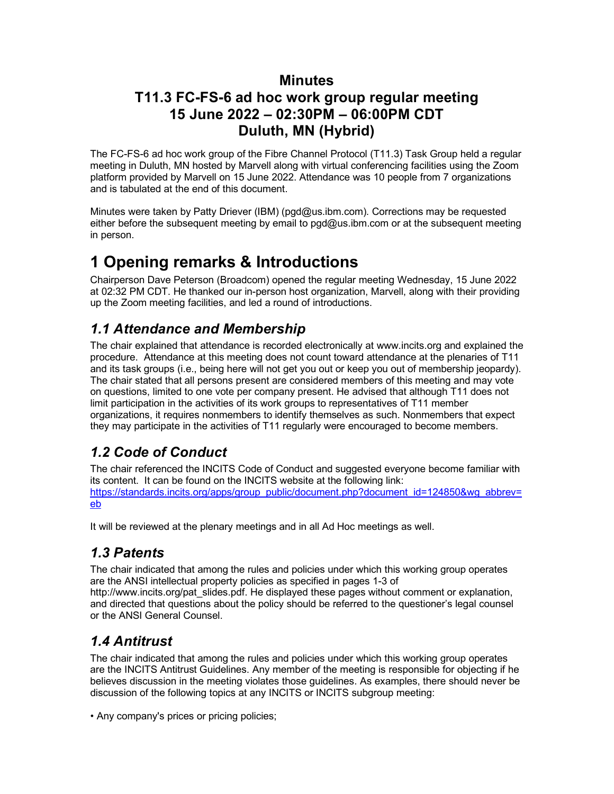#### **Minutes T11.3 FC-FS-6 ad hoc work group regular meeting 15 June 2022 – 02:30PM – 06:00PM CDT Duluth, MN (Hybrid)**

The FC-FS-6 ad hoc work group of the Fibre Channel Protocol (T11.3) Task Group held a regular meeting in Duluth, MN hosted by Marvell along with virtual conferencing facilities using the Zoom platform provided by Marvell on 15 June 2022. Attendance was 10 people from 7 organizations and is tabulated at the end of this document.

Minutes were taken by Patty Driever (IBM) (pgd@us.ibm.com). Corrections may be requested either before the subsequent meeting by email to  $pgd@us.$  ibm.com or at the subsequent meeting in person.

## **1 Opening remarks & Introductions**

Chairperson Dave Peterson (Broadcom) opened the regular meeting Wednesday, 15 June 2022 at 02:32 PM CDT. He thanked our in-person host organization, Marvell, along with their providing up the Zoom meeting facilities, and led a round of introductions.

## *1.1 Attendance and Membership*

The chair explained that attendance is recorded electronically at www.incits.org and explained the procedure. Attendance at this meeting does not count toward attendance at the plenaries of T11 and its task groups (i.e., being here will not get you out or keep you out of membership jeopardy). The chair stated that all persons present are considered members of this meeting and may vote on questions, limited to one vote per company present. He advised that although T11 does not limit participation in the activities of its work groups to representatives of T11 member organizations, it requires nonmembers to identify themselves as such. Nonmembers that expect they may participate in the activities of T11 regularly were encouraged to become members.

## *1.2 Code of Conduct*

The chair referenced the INCITS Code of Conduct and suggested everyone become familiar with its content. It can be found on the INCITS website at the following link: [https://standards.incits.org/apps/group\\_public/document.php?document\\_id=124850&wg\\_abbrev=](https://standards.incits.org/apps/group_public/document.php?document_id=124850&wg_abbrev=eb) [eb](https://standards.incits.org/apps/group_public/document.php?document_id=124850&wg_abbrev=eb)

It will be reviewed at the plenary meetings and in all Ad Hoc meetings as well.

## *1.3 Patents*

The chair indicated that among the rules and policies under which this working group operates are the ANSI intellectual property policies as specified in pages 1-3 of http://www.incits.org/pat\_slides.pdf. He displayed these pages without comment or explanation, and directed that questions about the policy should be referred to the questioner's legal counsel

## *1.4 Antitrust*

or the ANSI General Counsel.

The chair indicated that among the rules and policies under which this working group operates are the INCITS Antitrust Guidelines. Any member of the meeting is responsible for objecting if he believes discussion in the meeting violates those guidelines. As examples, there should never be discussion of the following topics at any INCITS or INCITS subgroup meeting:

• Any company's prices or pricing policies;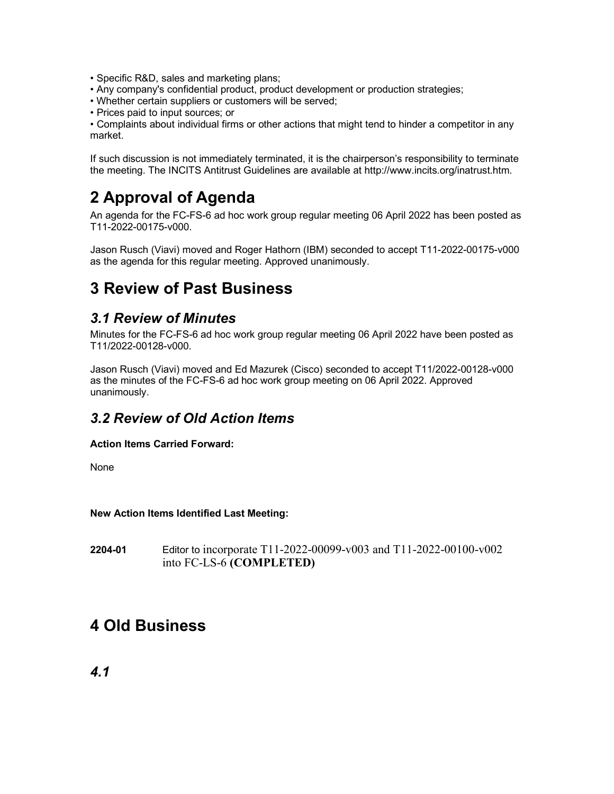- Specific R&D, sales and marketing plans;
- Any company's confidential product, product development or production strategies;
- Whether certain suppliers or customers will be served;
- Prices paid to input sources; or

• Complaints about individual firms or other actions that might tend to hinder a competitor in any market.

If such discussion is not immediately terminated, it is the chairperson's responsibility to terminate the meeting. The INCITS Antitrust Guidelines are available at http://www.incits.org/inatrust.htm.

## **2 Approval of Agenda**

An agenda for the FC-FS-6 ad hoc work group regular meeting 06 April 2022 has been posted as T11-2022-00175-v000.

Jason Rusch (Viavi) moved and Roger Hathorn (IBM) seconded to accept T11-2022-00175-v000 as the agenda for this regular meeting. Approved unanimously.

## **3 Review of Past Business**

#### *3.1 Review of Minutes*

Minutes for the FC-FS-6 ad hoc work group regular meeting 06 April 2022 have been posted as T11/2022-00128-v000.

Jason Rusch (Viavi) moved and Ed Mazurek (Cisco) seconded to accept T11/2022-00128-v000 as the minutes of the FC-FS-6 ad hoc work group meeting on 06 April 2022. Approved unanimously.

#### *3.2 Review of Old Action Items*

#### **Action Items Carried Forward:**

None

**New Action Items Identified Last Meeting:**

**2204-01** Editor to incorporate T11-2022-00099-v003 and T11-2022-00100-v002 into FC-LS-6 **(COMPLETED)**

## **4 Old Business**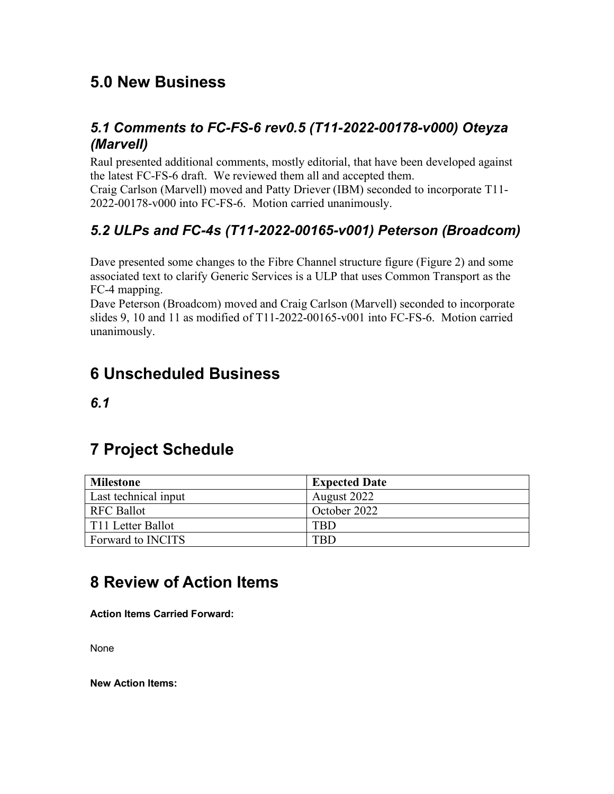## **5.0 New Business**

#### *5.1 Comments to FC-FS-6 rev0.5 (T11-2022-00178-v000) Oteyza (Marvell)*

Raul presented additional comments, mostly editorial, that have been developed against the latest FC-FS-6 draft. We reviewed them all and accepted them.

Craig Carlson (Marvell) moved and Patty Driever (IBM) seconded to incorporate T11- 2022-00178-v000 into FC-FS-6. Motion carried unanimously.

## *5.2 ULPs and FC-4s (T11-2022-00165-v001) Peterson (Broadcom)*

Dave presented some changes to the Fibre Channel structure figure (Figure 2) and some associated text to clarify Generic Services is a ULP that uses Common Transport as the FC-4 mapping.

Dave Peterson (Broadcom) moved and Craig Carlson (Marvell) seconded to incorporate slides 9, 10 and 11 as modified of T11-2022-00165-v001 into FC-FS-6. Motion carried unanimously.

## **6 Unscheduled Business**

*6.1*

## **7 Project Schedule**

| <b>Milestone</b>         | <b>Expected Date</b> |
|--------------------------|----------------------|
| Last technical input     | August 2022          |
| <b>RFC Ballot</b>        | October 2022         |
| T11 Letter Ballot        | $_{\rm TBD}$         |
| Forward to <b>INCITS</b> | TRD                  |

# **8 Review of Action Items**

**Action Items Carried Forward:**

None

**New Action Items:**